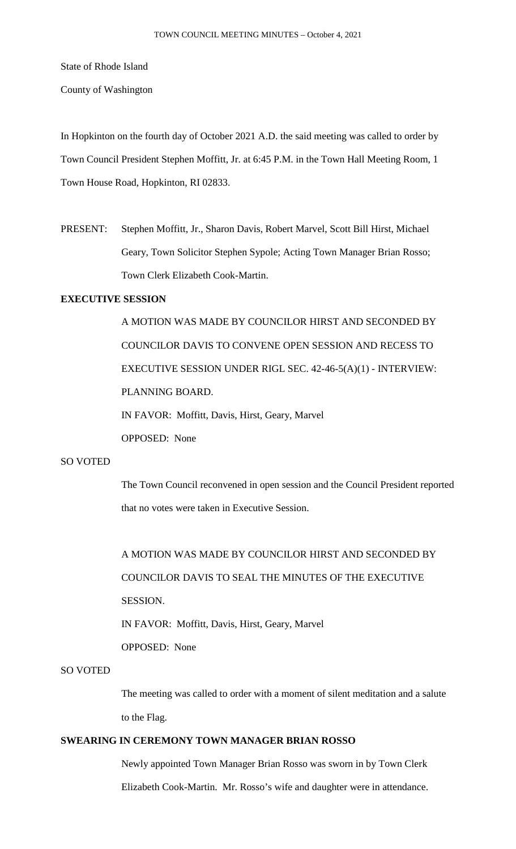State of Rhode Island

County of Washington

In Hopkinton on the fourth day of October 2021 A.D. the said meeting was called to order by Town Council President Stephen Moffitt, Jr. at 6:45 P.M. in the Town Hall Meeting Room, 1 Town House Road, Hopkinton, RI 02833.

PRESENT: Stephen Moffitt, Jr., Sharon Davis, Robert Marvel, Scott Bill Hirst, Michael Geary, Town Solicitor Stephen Sypole; Acting Town Manager Brian Rosso; Town Clerk Elizabeth Cook-Martin.

# **EXECUTIVE SESSION**

A MOTION WAS MADE BY COUNCILOR HIRST AND SECONDED BY COUNCILOR DAVIS TO CONVENE OPEN SESSION AND RECESS TO EXECUTIVE SESSION UNDER RIGL SEC. 42-46-5(A)(1) - INTERVIEW: PLANNING BOARD. IN FAVOR: Moffitt, Davis, Hirst, Geary, Marvel OPPOSED: None

# SO VOTED

The Town Council reconvened in open session and the Council President reported that no votes were taken in Executive Session.

A MOTION WAS MADE BY COUNCILOR HIRST AND SECONDED BY COUNCILOR DAVIS TO SEAL THE MINUTES OF THE EXECUTIVE SESSION. IN FAVOR: Moffitt, Davis, Hirst, Geary, Marvel

OPPOSED: None

# SO VOTED

The meeting was called to order with a moment of silent meditation and a salute to the Flag.

# **SWEARING IN CEREMONY TOWN MANAGER BRIAN ROSSO**

Newly appointed Town Manager Brian Rosso was sworn in by Town Clerk Elizabeth Cook-Martin. Mr. Rosso's wife and daughter were in attendance.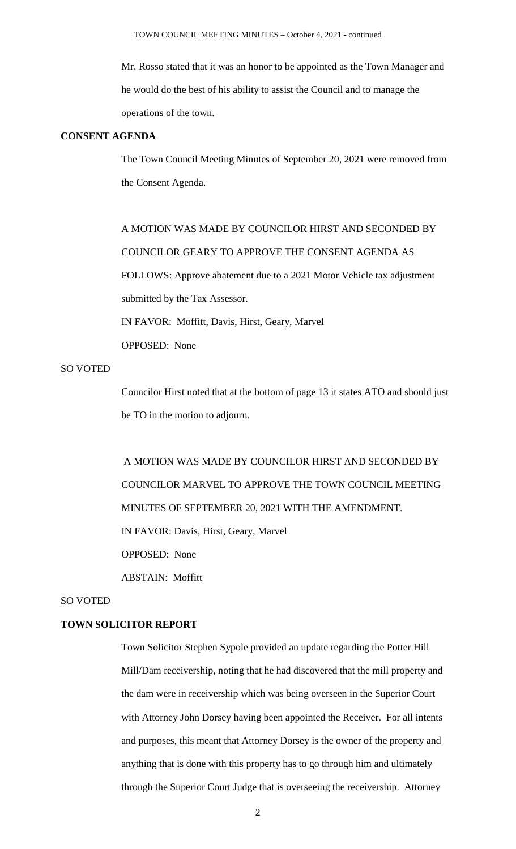Mr. Rosso stated that it was an honor to be appointed as the Town Manager and he would do the best of his ability to assist the Council and to manage the operations of the town.

#### **CONSENT AGENDA**

The Town Council Meeting Minutes of September 20, 2021 were removed from the Consent Agenda.

A MOTION WAS MADE BY COUNCILOR HIRST AND SECONDED BY COUNCILOR GEARY TO APPROVE THE CONSENT AGENDA AS FOLLOWS: Approve abatement due to a 2021 Motor Vehicle tax adjustment submitted by the Tax Assessor. IN FAVOR: Moffitt, Davis, Hirst, Geary, Marvel OPPOSED: None

# SO VOTED

Councilor Hirst noted that at the bottom of page 13 it states ATO and should just be TO in the motion to adjourn.

A MOTION WAS MADE BY COUNCILOR HIRST AND SECONDED BY COUNCILOR MARVEL TO APPROVE THE TOWN COUNCIL MEETING MINUTES OF SEPTEMBER 20, 2021 WITH THE AMENDMENT. IN FAVOR: Davis, Hirst, Geary, Marvel OPPOSED: None ABSTAIN: Moffitt

#### SO VOTED

# **TOWN SOLICITOR REPORT**

Town Solicitor Stephen Sypole provided an update regarding the Potter Hill Mill/Dam receivership, noting that he had discovered that the mill property and the dam were in receivership which was being overseen in the Superior Court with Attorney John Dorsey having been appointed the Receiver. For all intents and purposes, this meant that Attorney Dorsey is the owner of the property and anything that is done with this property has to go through him and ultimately through the Superior Court Judge that is overseeing the receivership. Attorney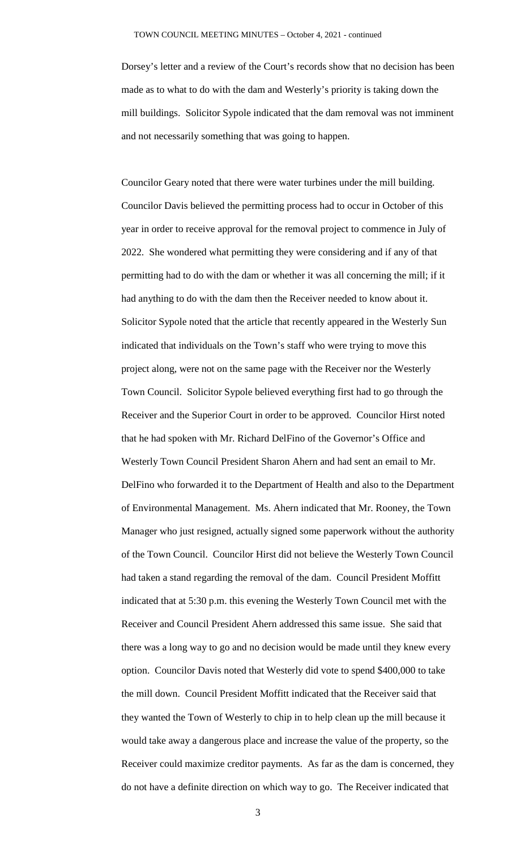Dorsey's letter and a review of the Court's records show that no decision has been made as to what to do with the dam and Westerly's priority is taking down the mill buildings. Solicitor Sypole indicated that the dam removal was not imminent and not necessarily something that was going to happen.

Councilor Geary noted that there were water turbines under the mill building. Councilor Davis believed the permitting process had to occur in October of this year in order to receive approval for the removal project to commence in July of 2022. She wondered what permitting they were considering and if any of that permitting had to do with the dam or whether it was all concerning the mill; if it had anything to do with the dam then the Receiver needed to know about it. Solicitor Sypole noted that the article that recently appeared in the Westerly Sun indicated that individuals on the Town's staff who were trying to move this project along, were not on the same page with the Receiver nor the Westerly Town Council. Solicitor Sypole believed everything first had to go through the Receiver and the Superior Court in order to be approved. Councilor Hirst noted that he had spoken with Mr. Richard DelFino of the Governor's Office and Westerly Town Council President Sharon Ahern and had sent an email to Mr. DelFino who forwarded it to the Department of Health and also to the Department of Environmental Management. Ms. Ahern indicated that Mr. Rooney, the Town Manager who just resigned, actually signed some paperwork without the authority of the Town Council. Councilor Hirst did not believe the Westerly Town Council had taken a stand regarding the removal of the dam. Council President Moffitt indicated that at 5:30 p.m. this evening the Westerly Town Council met with the Receiver and Council President Ahern addressed this same issue. She said that there was a long way to go and no decision would be made until they knew every option. Councilor Davis noted that Westerly did vote to spend \$400,000 to take the mill down. Council President Moffitt indicated that the Receiver said that they wanted the Town of Westerly to chip in to help clean up the mill because it would take away a dangerous place and increase the value of the property, so the Receiver could maximize creditor payments. As far as the dam is concerned, they do not have a definite direction on which way to go. The Receiver indicated that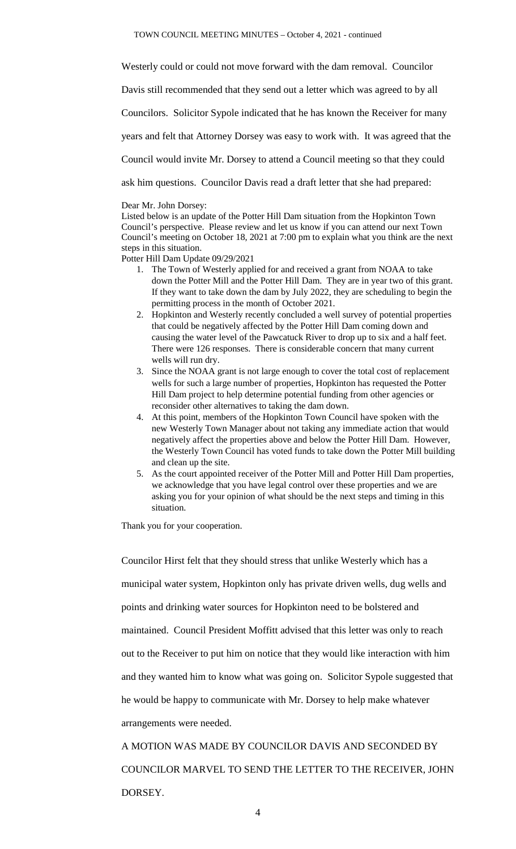Westerly could or could not move forward with the dam removal. Councilor

Davis still recommended that they send out a letter which was agreed to by all

Councilors. Solicitor Sypole indicated that he has known the Receiver for many

years and felt that Attorney Dorsey was easy to work with. It was agreed that the

Council would invite Mr. Dorsey to attend a Council meeting so that they could

ask him questions. Councilor Davis read a draft letter that she had prepared:

#### Dear Mr. John Dorsey:

Listed below is an update of the Potter Hill Dam situation from the Hopkinton Town Council's perspective. Please review and let us know if you can attend our next Town Council's meeting on October 18, 2021 at 7:00 pm to explain what you think are the next steps in this situation.

Potter Hill Dam Update 09/29/2021

- 1. The Town of Westerly applied for and received a grant from NOAA to take down the Potter Mill and the Potter Hill Dam. They are in year two of this grant. If they want to take down the dam by July 2022, they are scheduling to begin the permitting process in the month of October 2021.
- 2. Hopkinton and Westerly recently concluded a well survey of potential properties that could be negatively affected by the Potter Hill Dam coming down and causing the water level of the Pawcatuck River to drop up to six and a half feet. There were 126 responses. There is considerable concern that many current wells will run dry.
- 3. Since the NOAA grant is not large enough to cover the total cost of replacement wells for such a large number of properties, Hopkinton has requested the Potter Hill Dam project to help determine potential funding from other agencies or reconsider other alternatives to taking the dam down.
- 4. At this point, members of the Hopkinton Town Council have spoken with the new Westerly Town Manager about not taking any immediate action that would negatively affect the properties above and below the Potter Hill Dam. However, the Westerly Town Council has voted funds to take down the Potter Mill building and clean up the site.
- 5. As the court appointed receiver of the Potter Mill and Potter Hill Dam properties, we acknowledge that you have legal control over these properties and we are asking you for your opinion of what should be the next steps and timing in this situation.

Thank you for your cooperation.

Councilor Hirst felt that they should stress that unlike Westerly which has a municipal water system, Hopkinton only has private driven wells, dug wells and points and drinking water sources for Hopkinton need to be bolstered and maintained. Council President Moffitt advised that this letter was only to reach out to the Receiver to put him on notice that they would like interaction with him and they wanted him to know what was going on. Solicitor Sypole suggested that he would be happy to communicate with Mr. Dorsey to help make whatever arrangements were needed. A MOTION WAS MADE BY COUNCILOR DAVIS AND SECONDED BY

COUNCILOR MARVEL TO SEND THE LETTER TO THE RECEIVER, JOHN DORSEY.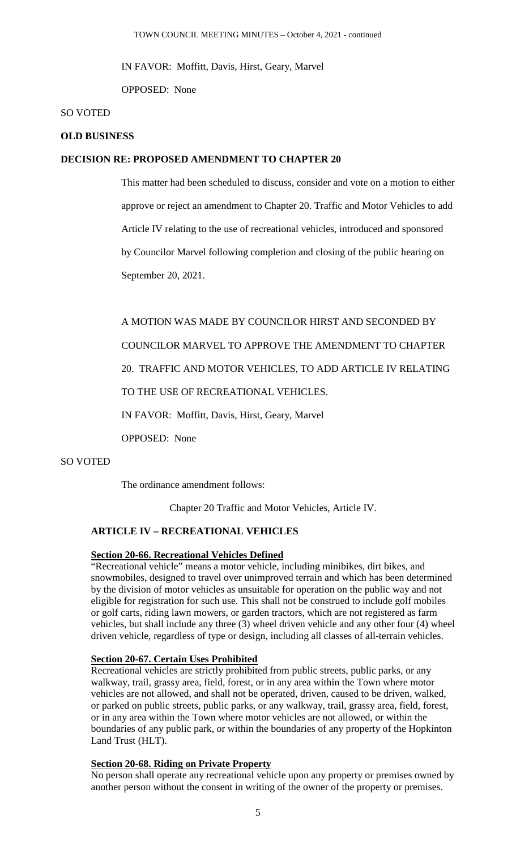IN FAVOR: Moffitt, Davis, Hirst, Geary, Marvel

OPPOSED: None

#### SO VOTED

#### **OLD BUSINESS**

#### **DECISION RE: PROPOSED AMENDMENT TO CHAPTER 20**

This matter had been scheduled to discuss, consider and vote on a motion to either approve or reject an amendment to Chapter 20. Traffic and Motor Vehicles to add Article IV relating to the use of recreational vehicles, introduced and sponsored by Councilor Marvel following completion and closing of the public hearing on September 20, 2021.

A MOTION WAS MADE BY COUNCILOR HIRST AND SECONDED BY

COUNCILOR MARVEL TO APPROVE THE AMENDMENT TO CHAPTER

20. TRAFFIC AND MOTOR VEHICLES, TO ADD ARTICLE IV RELATING

# TO THE USE OF RECREATIONAL VEHICLES.

IN FAVOR: Moffitt, Davis, Hirst, Geary, Marvel

OPPOSED: None

#### SO VOTED

The ordinance amendment follows:

Chapter 20 Traffic and Motor Vehicles, Article IV.

# **ARTICLE IV – RECREATIONAL VEHICLES**

# **Section 20-66. Recreational Vehicles Defined**

"Recreational vehicle" means a motor vehicle, including minibikes, dirt bikes, and snowmobiles, designed to travel over unimproved terrain and which has been determined by the division of motor vehicles as unsuitable for operation on the public way and not eligible for registration for such use. This shall not be construed to include golf mobiles or golf carts, riding lawn mowers, or garden tractors, which are not registered as farm vehicles, but shall include any three (3) wheel driven vehicle and any other four (4) wheel driven vehicle, regardless of type or design, including all classes of all-terrain vehicles.

#### **Section 20-67. Certain Uses Prohibited**

Recreational vehicles are strictly prohibited from public streets, public parks, or any walkway, trail, grassy area, field, forest, or in any area within the Town where motor vehicles are not allowed, and shall not be operated, driven, caused to be driven, walked, or parked on public streets, public parks, or any walkway, trail, grassy area, field, forest, or in any area within the Town where motor vehicles are not allowed, or within the boundaries of any public park, or within the boundaries of any property of the Hopkinton Land Trust (HLT).

## **Section 20-68. Riding on Private Property**

No person shall operate any recreational vehicle upon any property or premises owned by another person without the consent in writing of the owner of the property or premises.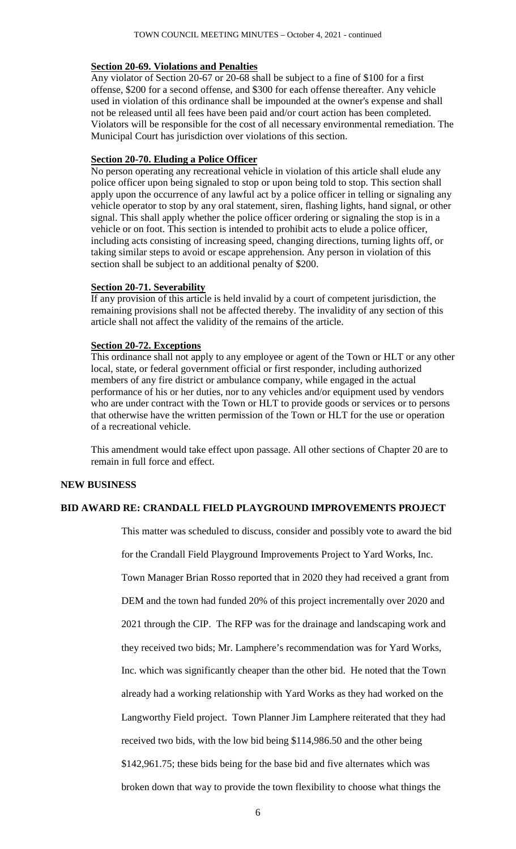#### **Section 20-69. Violations and Penalties**

Any violator of Section 20-67 or 20-68 shall be subject to a fine of \$100 for a first offense, \$200 for a second offense, and \$300 for each offense thereafter. Any vehicle used in violation of this ordinance shall be impounded at the owner's expense and shall not be released until all fees have been paid and/or court action has been completed. Violators will be responsible for the cost of all necessary environmental remediation. The Municipal Court has jurisdiction over violations of this section.

#### **Section 20-70. Eluding a Police Officer**

No person operating any recreational vehicle in violation of this article shall elude any police officer upon being signaled to stop or upon being told to stop. This section shall apply upon the occurrence of any lawful act by a police officer in telling or signaling any vehicle operator to stop by any oral statement, siren, flashing lights, hand signal, or other signal. This shall apply whether the police officer ordering or signaling the stop is in a vehicle or on foot. This section is intended to prohibit acts to elude a police officer, including acts consisting of increasing speed, changing directions, turning lights off, or taking similar steps to avoid or escape apprehension. Any person in violation of this section shall be subject to an additional penalty of \$200.

#### **Section 20-71. Severability**

If any provision of this article is held invalid by a court of competent jurisdiction, the remaining provisions shall not be affected thereby. The invalidity of any section of this article shall not affect the validity of the remains of the article.

# **Section 20-72. Exceptions**

This ordinance shall not apply to any employee or agent of the Town or HLT or any other local, state, or federal government official or first responder, including authorized members of any fire district or ambulance company, while engaged in the actual performance of his or her duties, nor to any vehicles and/or equipment used by vendors who are under contract with the Town or HLT to provide goods or services or to persons that otherwise have the written permission of the Town or HLT for the use or operation of a recreational vehicle.

This amendment would take effect upon passage. All other sections of Chapter 20 are to remain in full force and effect.

# **NEW BUSINESS**

# **BID AWARD RE: CRANDALL FIELD PLAYGROUND IMPROVEMENTS PROJECT**

This matter was scheduled to discuss, consider and possibly vote to award the bid

for the Crandall Field Playground Improvements Project to Yard Works, Inc.

Town Manager Brian Rosso reported that in 2020 they had received a grant from

DEM and the town had funded 20% of this project incrementally over 2020 and

2021 through the CIP. The RFP was for the drainage and landscaping work and

they received two bids; Mr. Lamphere's recommendation was for Yard Works,

Inc. which was significantly cheaper than the other bid. He noted that the Town

already had a working relationship with Yard Works as they had worked on the

Langworthy Field project. Town Planner Jim Lamphere reiterated that they had

received two bids, with the low bid being \$114,986.50 and the other being

\$142,961.75; these bids being for the base bid and five alternates which was

broken down that way to provide the town flexibility to choose what things the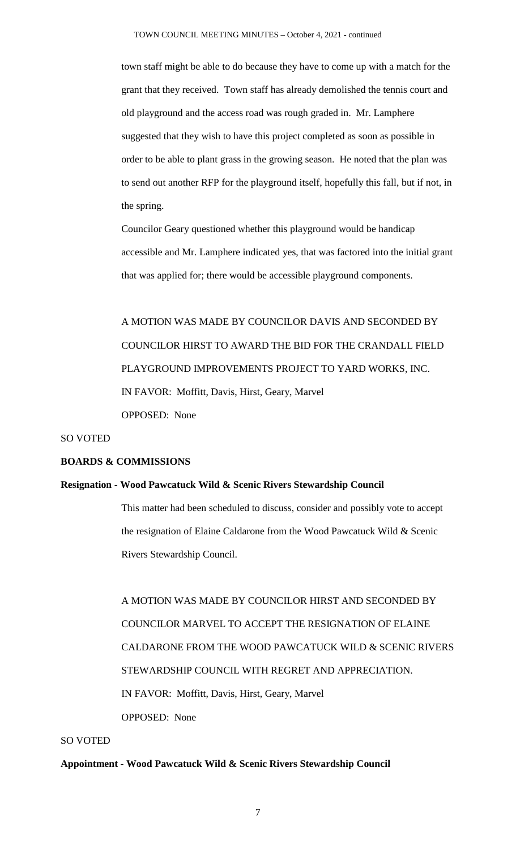town staff might be able to do because they have to come up with a match for the grant that they received. Town staff has already demolished the tennis court and old playground and the access road was rough graded in. Mr. Lamphere suggested that they wish to have this project completed as soon as possible in order to be able to plant grass in the growing season. He noted that the plan was to send out another RFP for the playground itself, hopefully this fall, but if not, in the spring.

Councilor Geary questioned whether this playground would be handicap accessible and Mr. Lamphere indicated yes, that was factored into the initial grant that was applied for; there would be accessible playground components.

A MOTION WAS MADE BY COUNCILOR DAVIS AND SECONDED BY COUNCILOR HIRST TO AWARD THE BID FOR THE CRANDALL FIELD PLAYGROUND IMPROVEMENTS PROJECT TO YARD WORKS, INC. IN FAVOR: Moffitt, Davis, Hirst, Geary, Marvel OPPOSED: None

#### SO VOTED

# **BOARDS & COMMISSIONS**

## **Resignation - Wood Pawcatuck Wild & Scenic Rivers Stewardship Council**

This matter had been scheduled to discuss, consider and possibly vote to accept the resignation of Elaine Caldarone from the Wood Pawcatuck Wild & Scenic Rivers Stewardship Council.

A MOTION WAS MADE BY COUNCILOR HIRST AND SECONDED BY COUNCILOR MARVEL TO ACCEPT THE RESIGNATION OF ELAINE CALDARONE FROM THE WOOD PAWCATUCK WILD & SCENIC RIVERS STEWARDSHIP COUNCIL WITH REGRET AND APPRECIATION. IN FAVOR: Moffitt, Davis, Hirst, Geary, Marvel OPPOSED: None

## SO VOTED

#### **Appointment - Wood Pawcatuck Wild & Scenic Rivers Stewardship Council**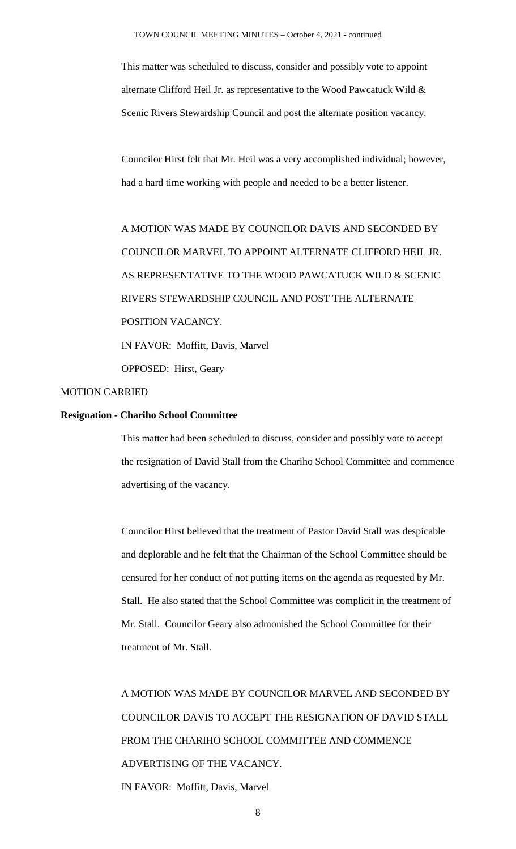This matter was scheduled to discuss, consider and possibly vote to appoint alternate Clifford Heil Jr. as representative to the Wood Pawcatuck Wild & Scenic Rivers Stewardship Council and post the alternate position vacancy.

Councilor Hirst felt that Mr. Heil was a very accomplished individual; however, had a hard time working with people and needed to be a better listener.

A MOTION WAS MADE BY COUNCILOR DAVIS AND SECONDED BY COUNCILOR MARVEL TO APPOINT ALTERNATE CLIFFORD HEIL JR. AS REPRESENTATIVE TO THE WOOD PAWCATUCK WILD & SCENIC RIVERS STEWARDSHIP COUNCIL AND POST THE ALTERNATE POSITION VACANCY. IN FAVOR: Moffitt, Davis, Marvel OPPOSED: Hirst, Geary

# MOTION CARRIED

#### **Resignation - Chariho School Committee**

This matter had been scheduled to discuss, consider and possibly vote to accept the resignation of David Stall from the Chariho School Committee and commence advertising of the vacancy.

Councilor Hirst believed that the treatment of Pastor David Stall was despicable and deplorable and he felt that the Chairman of the School Committee should be censured for her conduct of not putting items on the agenda as requested by Mr. Stall. He also stated that the School Committee was complicit in the treatment of Mr. Stall. Councilor Geary also admonished the School Committee for their treatment of Mr. Stall.

A MOTION WAS MADE BY COUNCILOR MARVEL AND SECONDED BY COUNCILOR DAVIS TO ACCEPT THE RESIGNATION OF DAVID STALL FROM THE CHARIHO SCHOOL COMMITTEE AND COMMENCE ADVERTISING OF THE VACANCY. IN FAVOR: Moffitt, Davis, Marvel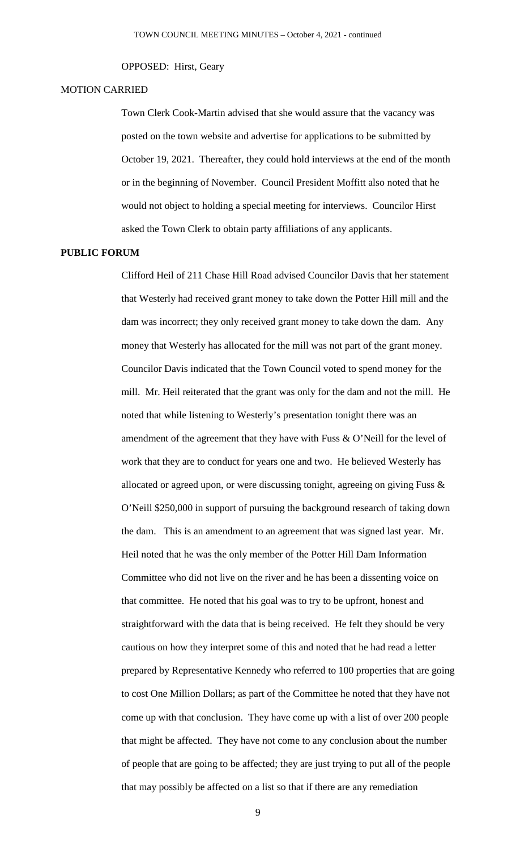#### OPPOSED: Hirst, Geary

#### MOTION CARRIED

Town Clerk Cook-Martin advised that she would assure that the vacancy was posted on the town website and advertise for applications to be submitted by October 19, 2021. Thereafter, they could hold interviews at the end of the month or in the beginning of November. Council President Moffitt also noted that he would not object to holding a special meeting for interviews. Councilor Hirst asked the Town Clerk to obtain party affiliations of any applicants.

#### **PUBLIC FORUM**

Clifford Heil of 211 Chase Hill Road advised Councilor Davis that her statement that Westerly had received grant money to take down the Potter Hill mill and the dam was incorrect; they only received grant money to take down the dam. Any money that Westerly has allocated for the mill was not part of the grant money. Councilor Davis indicated that the Town Council voted to spend money for the mill. Mr. Heil reiterated that the grant was only for the dam and not the mill. He noted that while listening to Westerly's presentation tonight there was an amendment of the agreement that they have with Fuss & O'Neill for the level of work that they are to conduct for years one and two. He believed Westerly has allocated or agreed upon, or were discussing tonight, agreeing on giving Fuss & O'Neill \$250,000 in support of pursuing the background research of taking down the dam. This is an amendment to an agreement that was signed last year. Mr. Heil noted that he was the only member of the Potter Hill Dam Information Committee who did not live on the river and he has been a dissenting voice on that committee. He noted that his goal was to try to be upfront, honest and straightforward with the data that is being received. He felt they should be very cautious on how they interpret some of this and noted that he had read a letter prepared by Representative Kennedy who referred to 100 properties that are going to cost One Million Dollars; as part of the Committee he noted that they have not come up with that conclusion. They have come up with a list of over 200 people that might be affected. They have not come to any conclusion about the number of people that are going to be affected; they are just trying to put all of the people that may possibly be affected on a list so that if there are any remediation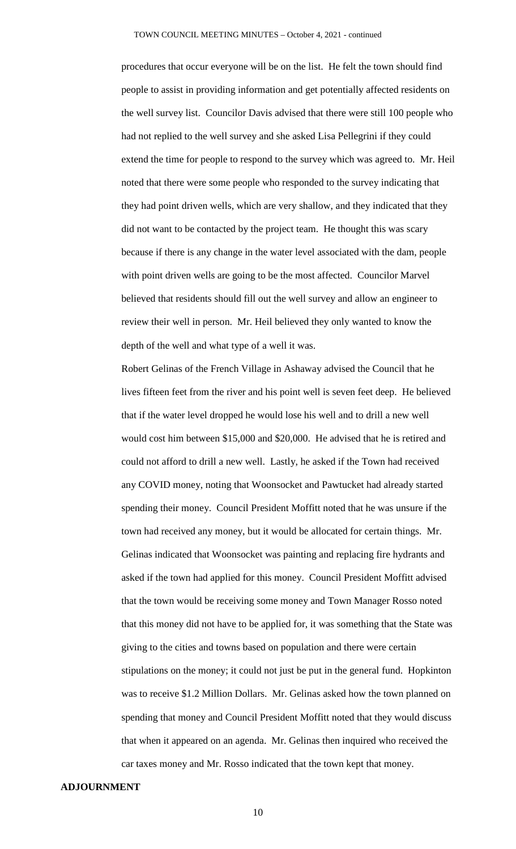procedures that occur everyone will be on the list. He felt the town should find people to assist in providing information and get potentially affected residents on the well survey list. Councilor Davis advised that there were still 100 people who had not replied to the well survey and she asked Lisa Pellegrini if they could extend the time for people to respond to the survey which was agreed to. Mr. Heil noted that there were some people who responded to the survey indicating that they had point driven wells, which are very shallow, and they indicated that they did not want to be contacted by the project team. He thought this was scary because if there is any change in the water level associated with the dam, people with point driven wells are going to be the most affected. Councilor Marvel believed that residents should fill out the well survey and allow an engineer to review their well in person. Mr. Heil believed they only wanted to know the depth of the well and what type of a well it was.

Robert Gelinas of the French Village in Ashaway advised the Council that he lives fifteen feet from the river and his point well is seven feet deep. He believed that if the water level dropped he would lose his well and to drill a new well would cost him between \$15,000 and \$20,000. He advised that he is retired and could not afford to drill a new well. Lastly, he asked if the Town had received any COVID money, noting that Woonsocket and Pawtucket had already started spending their money. Council President Moffitt noted that he was unsure if the town had received any money, but it would be allocated for certain things. Mr. Gelinas indicated that Woonsocket was painting and replacing fire hydrants and asked if the town had applied for this money. Council President Moffitt advised that the town would be receiving some money and Town Manager Rosso noted that this money did not have to be applied for, it was something that the State was giving to the cities and towns based on population and there were certain stipulations on the money; it could not just be put in the general fund. Hopkinton was to receive \$1.2 Million Dollars. Mr. Gelinas asked how the town planned on spending that money and Council President Moffitt noted that they would discuss that when it appeared on an agenda. Mr. Gelinas then inquired who received the car taxes money and Mr. Rosso indicated that the town kept that money.

#### **ADJOURNMENT**